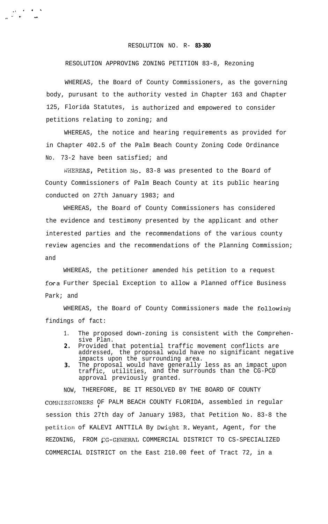## RESOLUTION NO. R- **83-380**

## RESOLUTION APPROVING ZONING PETITION 83-8, Rezoning

. 1  $\mathcal{A} = \mathcal{A}$ .- <sup>Y</sup> .. ,.

> WHEREAS, the Board of County Commissioners, as the governing body, purusant to the authority vested in Chapter 163 and Chapter 125, Florida Statutes, is authorized and empowered to consider petitions relating to zoning; and

> WHEREAS, the notice and hearing requirements as provided for in Chapter 402.5 of the Palm Beach County Zoning Code Ordinance No. 73-2 have been satisfied; and

WHEREAS, Petition No. 83-8 was presented to the Board of County Commissioners of Palm Beach County at its public hearing conducted on 27th January 1983; and

WHEREAS, the Board of County Commissioners has considered the evidence and testimony presented by the applicant and other interested parties and the recommendations of the various county review agencies and the recommendations of the Planning Commission; and

WHEREAS, the petitioner amended his petition to a request fora Further Special Exception to allow a Planned office Business Park; and

WHEREAS, the Board of County Commissioners made the followin'g findings of fact:

- 1. The proposed down-zoning is consistent with the Comprehensive Plan.
- **2 .** Provided that potential traffic movement conflicts are addressed, the proposal would have no significant negative impacts upon the surrounding area.
- **3.** The proposal would have generally less as an impact upon traffic, utilities, and the surrounds than the CG-PCD approval previously granted.

NOW, THEREFORE, BE IT RESOLVED BY THE BOARD OF COUNTY COMMISSIONERS OF PALM BEACH COUNTY FLORIDA, assembled in regular I session this 27th day of January 1983, that Petition No. 83-8 the petition of KALEVI ANTTILA By Dwight R. Weyant, Agent, for the REZONING, FROM CG-GENERAL COMMERCIAL DISTRICT TO CS-SPECIALIZED COMMERCIAL DISTRICT on the East 210.00 feet of Tract 72, in a